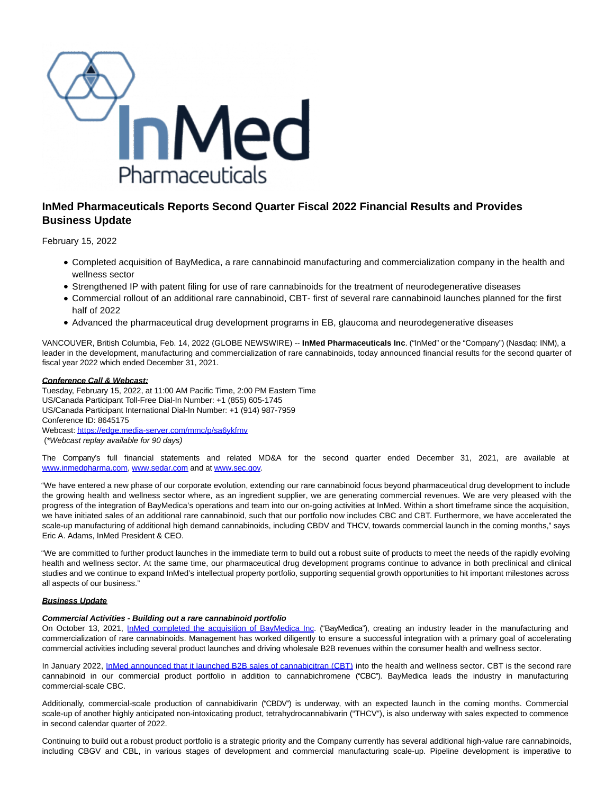

# **InMed Pharmaceuticals Reports Second Quarter Fiscal 2022 Financial Results and Provides Business Update**

February 15, 2022

- Completed acquisition of BayMedica, a rare cannabinoid manufacturing and commercialization company in the health and wellness sector
- Strengthened IP with patent filing for use of rare cannabinoids for the treatment of neurodegenerative diseases
- Commercial rollout of an additional rare cannabinoid, CBT- first of several rare cannabinoid launches planned for the first half of 2022
- Advanced the pharmaceutical drug development programs in EB, glaucoma and neurodegenerative diseases

VANCOUVER, British Columbia, Feb. 14, 2022 (GLOBE NEWSWIRE) -- **InMed Pharmaceuticals Inc**. ("InMed" or the "Company") (Nasdaq: INM), a leader in the development, manufacturing and commercialization of rare cannabinoids, today announced financial results for the second quarter of fiscal year 2022 which ended December 31, 2021.

## **Conference Call & Webcast:**

Tuesday, February 15, 2022, at 11:00 AM Pacific Time, 2:00 PM Eastern Time US/Canada Participant Toll-Free Dial-In Number: +1 (855) 605-1745 US/Canada Participant International Dial-In Number: +1 (914) 987-7959 Conference ID: 8645175 Webcast[: https://edge.media-server.com/mmc/p/sa6ykfmv](https://www.globenewswire.com/Tracker?data=mSmb8Atj0dcb9QNNszQxlsMDCdiTsmxsIEsaa4aSC5fwzoAn_edhpFWtoum-fxTbVDDsYTZH87MBJSZGK9iesHs590Nx7lIvpJqWEkX5EIMbtc5I4wdeShh-qmQyIe2XEo-z6ucQELbhTSkDGSwAsErp0EanQibeB_r0EiAo0VxM6f62hnD87x6qB_ZPDOtviMu6xwuXaeAGBWYVs3q-3X8p53JefR_aXmkZimsSsY2Wv4locVZ5kT8nPxNgn0JoVOspTTqxFmAQLd8avOdgOtqFyUVfYdOI73cqiMgCskGEDQD_cFGK1xF_RXzTbRxmznB_hD4GyXwBTlAFZ6OKkodxuijlul5aarhsYPf7aVvP_8Ph6vNL-xXQkEnFq83E5Q533f7pYSBw5iHSrCe6laZW-cgkwJDlc_cXNDCdzs3qi-N_M85p3kIReLIz50IXUqtkiyEdptELvEnsHxXj3iZGlq2vEqD4V024Tzhnu_8lALE4B47-JvTSlpEVx63zfodSpJUdCjwIhMaH3KP_UZh2la41ilj0X2Lsp4coXbXygNuH9MdpgcI7BU75EnOnmhAhEz2sOoV0EQmu-ddt89Fa-Oda4HfunzrLLO-dloA=) (\*Webcast replay available for 90 days)

The Company's full financial statements and related MD&A for the second quarter ended December 31, 2021, are available at [www.inmedpharma.com,](https://www.globenewswire.com/Tracker?data=XH4d_8o0lutsmHl65lAjP436uYlcUh7f21d6DUX4yR4b4IQBOeeoWZ2IOYQdTfNsujwqKrEUrSlDBpwJEvvcx3CEYrqcam9BxABwG_hCtXY=) [www.sedar.com a](https://www.globenewswire.com/Tracker?data=k5FON1hvSrfNPNwKysSWYhWnh6cKOwy_PpJWFF8H_kCbt1_rA0_EZTf7at4naLhsedxHwbdsSI3WUFVANzZALw==)nd at [www.sec.gov.](https://www.globenewswire.com/Tracker?data=k5FON1hvSrfNPNwKysSWYjAH8JFlUEtgqBKcUxWLL9Or3P1Xrne5muFkSVeaHd5QdECA1XT_en7dkzwiibybiw==)

"We have entered a new phase of our corporate evolution, extending our rare cannabinoid focus beyond pharmaceutical drug development to include the growing health and wellness sector where, as an ingredient supplier, we are generating commercial revenues. We are very pleased with the progress of the integration of BayMedica's operations and team into our on-going activities at InMed. Within a short timeframe since the acquisition, we have initiated sales of an additional rare cannabinoid, such that our portfolio now includes CBC and CBT. Furthermore, we have accelerated the scale-up manufacturing of additional high demand cannabinoids, including CBDV and THCV, towards commercial launch in the coming months," says Eric A. Adams, InMed President & CEO.

"We are committed to further product launches in the immediate term to build out a robust suite of products to meet the needs of the rapidly evolving health and wellness sector. At the same time, our pharmaceutical drug development programs continue to advance in both preclinical and clinical studies and we continue to expand InMed's intellectual property portfolio, supporting sequential growth opportunities to hit important milestones across all aspects of our business."

## **Business Update**

## **Commercial Activities - Building out a rare cannabinoid portfolio**

On October 13, 2021, [InMed completed the acquisition of BayMedica Inc.](https://www.globenewswire.com/Tracker?data=wIPl-lHaecxw2R3t4Y--4V5S0vZB-c_wy2-qhQluwKTlwkogi5uLHCYbxtxLdLfKuG7gv7xpqQ0HLapcaeH4TaHYB9D6PF7iNEQIcNlq36eOHfXvYBWMIGkmgG8_ruout0X21DCx4pdK0bSaeR6YYuSaLxO601JZzO13mBdIBzVAx_UdPE9GAeFT584A6EfCwgwyApJtKCVdEdlSguNQEriJP_1wIdat8vW9SGH1mLCK8sh361_qBXmBg_8DfSE-GUMY4tVcEMPus4dGqbiuow==) ("BayMedica"), creating an industry leader in the manufacturing and commercialization of rare cannabinoids. Management has worked diligently to ensure a successful integration with a primary goal of accelerating commercial activities including several product launches and driving wholesale B2B revenues within the consumer health and wellness sector.

In January 2022, [InMed announced that it launched B2B sales of cannabicitran \(CBT\) i](https://www.globenewswire.com/Tracker?data=wIPl-lHaecxw2R3t4Y--4ajlLkAVYkhaDqimC6CEJsfRclReA4kUMMRk3BkpMNo702RPXRTd9yvor2Rg7h-xq6674_qtEiaqBceBv19dnkxj_z0IGyZMS6AveTt-iFLID-84KcrjSRYnfz13n64JYfBcw8-bGE0cauDM8eEoar4mcIKPd6bpwJXvCWGGwB9QWCkr11o_YW0vSrlT4u1S_R0E8I9vg3aHiJhrkHqKCBF2IzKn5P8ssPALUuKG3A9WgD-nNm_cBJ-BDkqmy2XBWZfVK7CHm4mwACbOT2qInHE=)nto the health and wellness sector. CBT is the second rare cannabinoid in our commercial product portfolio in addition to cannabichromene ("CBC"). BayMedica leads the industry in manufacturing commercial-scale CBC.

Additionally, commercial-scale production of cannabidivarin ("CBDV") is underway, with an expected launch in the coming months. Commercial scale-up of another highly anticipated non-intoxicating product, tetrahydrocannabivarin ("THCV"), is also underway with sales expected to commence in second calendar quarter of 2022.

Continuing to build out a robust product portfolio is a strategic priority and the Company currently has several additional high-value rare cannabinoids, including CBGV and CBL, in various stages of development and commercial manufacturing scale-up. Pipeline development is imperative to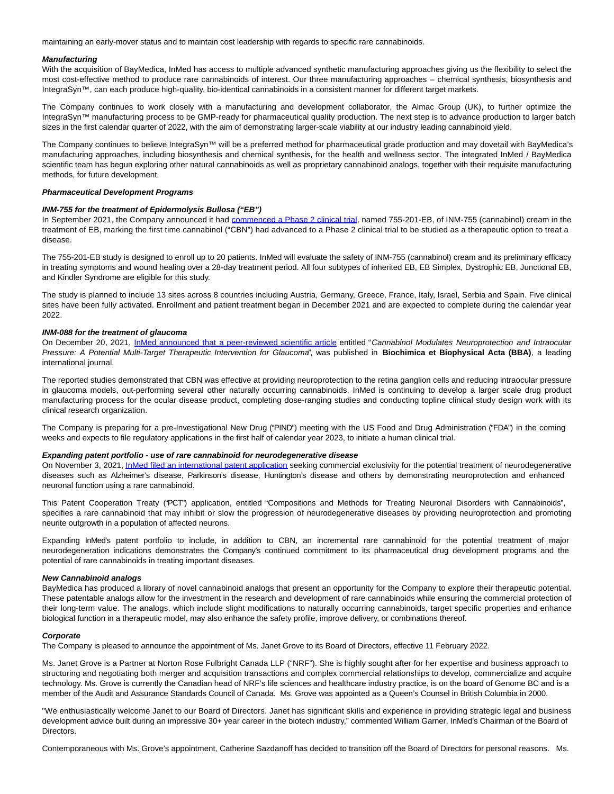maintaining an early-mover status and to maintain cost leadership with regards to specific rare cannabinoids.

#### **Manufacturing**

With the acquisition of BayMedica, InMed has access to multiple advanced synthetic manufacturing approaches giving us the flexibility to select the most cost-effective method to produce rare cannabinoids of interest. Our three manufacturing approaches – chemical synthesis, biosynthesis and IntegraSyn™, can each produce high-quality, bio-identical cannabinoids in a consistent manner for different target markets.

The Company continues to work closely with a manufacturing and development collaborator, the Almac Group (UK), to further optimize the IntegraSyn™ manufacturing process to be GMP-ready for pharmaceutical quality production. The next step is to advance production to larger batch sizes in the first calendar quarter of 2022, with the aim of demonstrating larger-scale viability at our industry leading cannabinoid yield.

The Company continues to believe IntegraSyn™ will be a preferred method for pharmaceutical grade production and may dovetail with BayMedica's manufacturing approaches, including biosynthesis and chemical synthesis, for the health and wellness sector. The integrated InMed / BayMedica scientific team has begun exploring other natural cannabinoids as well as proprietary cannabinoid analogs, together with their requisite manufacturing methods, for future development.

#### **Pharmaceutical Development Programs**

#### **INM-755 for the treatment of Epidermolysis Bullosa ("EB")**

In September 2021, the Company announced it had [commenced a Phase 2 clinical trial,](https://www.globenewswire.com/Tracker?data=P5Mb4NFqgmZroXSaREr3lsnQ2YMwx4k0xE7dTACgfsPaeviaBs9R53sRiGtmsNfS4se0VMPZbNbaJGOygtz4kq7nPbEg9W29qL29ST3vr4tvOIqlLqLaK239hkJgk_3z4z7M_8epN2twnxaDXkUc46ApHI1rIvH3dY_uGWCAmiafvYEOJtNdHMcqwgB9gBDT34tc3Av61NEQRJy2wtkChou1hD4ou3H4myOzvSHkwBJXHuK6eySp5DNmtRu2au--) named 755-201-EB, of INM-755 (cannabinol) cream in the treatment of EB, marking the first time cannabinol ("CBN") had advanced to a Phase 2 clinical trial to be studied as a therapeutic option to treat a disease.

The 755-201-EB study is designed to enroll up to 20 patients. InMed will evaluate the safety of INM-755 (cannabinol) cream and its preliminary efficacy in treating symptoms and wound healing over a 28-day treatment period. All four subtypes of inherited EB, EB Simplex, Dystrophic EB, Junctional EB, and Kindler Syndrome are eligible for this study.

The study is planned to include 13 sites across 8 countries including Austria, Germany, Greece, France, Italy, Israel, Serbia and Spain. Five clinical sites have been fully activated. Enrollment and patient treatment began in December 2021 and are expected to complete during the calendar year 2022.

#### **INM-088 for the treatment of glaucoma**

On December 20, 2021, [InMed announced that a peer-reviewed scientific article e](https://www.globenewswire.com/Tracker?data=wIPl-lHaecxw2R3t4Y--4VjNSMJmzwaD2ou189f4edrpOxEYw5j3jGjiIw-SoDgW4O69d4xNCsF6FXc4AK1MP-rhGm5HNGgKVAPvWK2t6G7zSddyNq5BjQtySYv0RbfApuWjY0az7JwUQWZfJg0V9QR1W_SRMUYFJwpkjlActFNLwoyc-ZQomsFdnRqD70yFomq-7oHoeTlK8en7tFcqBKxNyVyBdJ4n3waM7VmG1FkKofEWtJW2DqwlMKlaMvcIuMq44hiwTKqTKMS5D0HsOg==)ntitled "Cannabinol Modulates Neuroprotection and Intraocular Pressure: A Potential Multi-Target Therapeutic Intervention for Glaucoma", was published in **Biochimica et Biophysical Acta (BBA)**, a leading international journal.

The reported studies demonstrated that CBN was effective at providing neuroprotection to the retina ganglion cells and reducing intraocular pressure in glaucoma models, out-performing several other naturally occurring cannabinoids. InMed is continuing to develop a larger scale drug product manufacturing process for the ocular disease product, completing dose-ranging studies and conducting topline clinical study design work with its clinical research organization.

The Company is preparing for a pre-Investigational New Drug ("PIND") meeting with the US Food and Drug Administration ("FDA") in the coming weeks and expects to file regulatory applications in the first half of calendar year 2023, to initiate a human clinical trial.

#### **Expanding patent portfolio - use of rare cannabinoid for neurodegenerative disease**

On November 3, 2021[, InMed filed an international patent application s](https://www.globenewswire.com/Tracker?data=wIPl-lHaecxw2R3t4Y--4VMY6gz-oLZx24I44EtvtDoKXW0368wzXxBk4xIn760eu4zaBVqzQ7Opnkv3FCppTYcgxgxBoHL7tUZkQNdFEsGzlgAzoqpZzHgNIqBRDa-Dj0D5tzb8SBvRI2BdJ3QMh2qoPljSx31tuyu9DSSPzkaBS2uShf3iJPU4UWTWQQetpokAeYNSnM1hzkHlO4c3XQFGOA6n4qWtM-WwlBUTmv2YOYq8KwO4I77QvS_aa_BVDFgdXnxQqaURgRdG1-D_rA==)eeking commercial exclusivity for the potential treatment of neurodegenerative diseases such as Alzheimer's disease, Parkinson's disease, Huntington's disease and others by demonstrating neuroprotection and enhanced neuronal function using a rare cannabinoid.

This Patent Cooperation Treaty ("PCT") application, entitled "Compositions and Methods for Treating Neuronal Disorders with Cannabinoids", specifies a rare cannabinoid that may inhibit or slow the progression of neurodegenerative diseases by providing neuroprotection and promoting neurite outgrowth in a population of affected neurons.

Expanding InMed's patent portfolio to include, in addition to CBN, an incremental rare cannabinoid for the potential treatment of major neurodegeneration indications demonstrates the Company's continued commitment to its pharmaceutical drug development programs and the potential of rare cannabinoids in treating important diseases.

#### **New Cannabinoid analogs**

BayMedica has produced a library of novel cannabinoid analogs that present an opportunity for the Company to explore their therapeutic potential. These patentable analogs allow for the investment in the research and development of rare cannabinoids while ensuring the commercial protection of their long-term value. The analogs, which include slight modifications to naturally occurring cannabinoids, target specific properties and enhance biological function in a therapeutic model, may also enhance the safety profile, improve delivery, or combinations thereof.

#### **Corporate**

The Company is pleased to announce the appointment of Ms. Janet Grove to its Board of Directors, effective 11 February 2022.

Ms. Janet Grove is a Partner at Norton Rose Fulbright Canada LLP ("NRF"). She is highly sought after for her expertise and business approach to structuring and negotiating both merger and acquisition transactions and complex commercial relationships to develop, commercialize and acquire technology. Ms. Grove is currently the Canadian head of NRF's life sciences and healthcare industry practice, is on the board of Genome BC and is a member of the Audit and Assurance Standards Council of Canada. Ms. Grove was appointed as a Queen's Counsel in British Columbia in 2000.

"We enthusiastically welcome Janet to our Board of Directors. Janet has significant skills and experience in providing strategic legal and business development advice built during an impressive 30+ year career in the biotech industry," commented William Garner, InMed's Chairman of the Board of Directors.

Contemporaneous with Ms. Grove's appointment, Catherine Sazdanoff has decided to transition off the Board of Directors for personal reasons. Ms.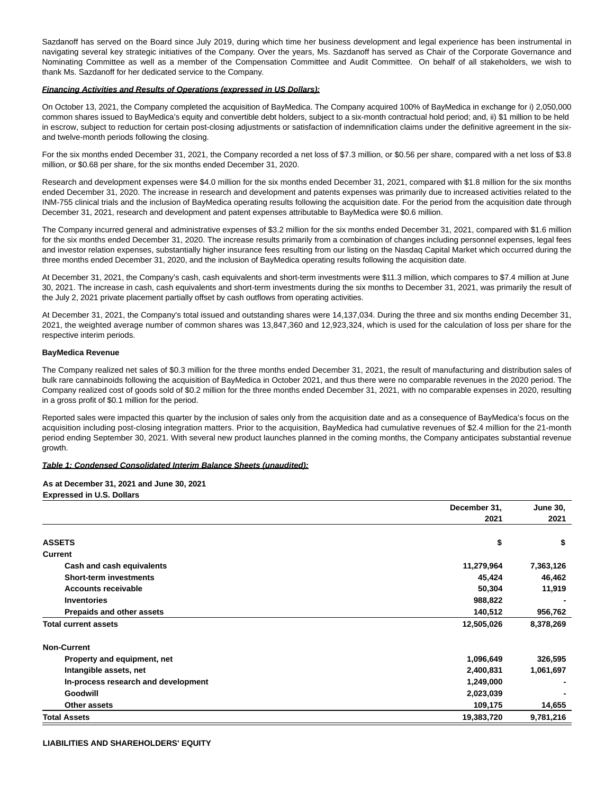Sazdanoff has served on the Board since July 2019, during which time her business development and legal experience has been instrumental in navigating several key strategic initiatives of the Company. Over the years, Ms. Sazdanoff has served as Chair of the Corporate Governance and Nominating Committee as well as a member of the Compensation Committee and Audit Committee. On behalf of all stakeholders, we wish to thank Ms. Sazdanoff for her dedicated service to the Company.

#### **Financing Activities and Results of Operations (expressed in US Dollars):**

On October 13, 2021, the Company completed the acquisition of BayMedica. The Company acquired 100% of BayMedica in exchange for i) 2,050,000 common shares issued to BayMedica's equity and convertible debt holders, subject to a six-month contractual hold period; and, ii) \$1 million to be held in escrow, subject to reduction for certain post-closing adjustments or satisfaction of indemnification claims under the definitive agreement in the sixand twelve-month periods following the closing.

For the six months ended December 31, 2021, the Company recorded a net loss of \$7.3 million, or \$0.56 per share, compared with a net loss of \$3.8 million, or \$0.68 per share, for the six months ended December 31, 2020.

Research and development expenses were \$4.0 million for the six months ended December 31, 2021, compared with \$1.8 million for the six months ended December 31, 2020. The increase in research and development and patents expenses was primarily due to increased activities related to the INM-755 clinical trials and the inclusion of BayMedica operating results following the acquisition date. For the period from the acquisition date through December 31, 2021, research and development and patent expenses attributable to BayMedica were \$0.6 million.

The Company incurred general and administrative expenses of \$3.2 million for the six months ended December 31, 2021, compared with \$1.6 million for the six months ended December 31, 2020. The increase results primarily from a combination of changes including personnel expenses, legal fees and investor relation expenses, substantially higher insurance fees resulting from our listing on the Nasdaq Capital Market which occurred during the three months ended December 31, 2020, and the inclusion of BayMedica operating results following the acquisition date.

At December 31, 2021, the Company's cash, cash equivalents and short-term investments were \$11.3 million, which compares to \$7.4 million at June 30, 2021. The increase in cash, cash equivalents and short-term investments during the six months to December 31, 2021, was primarily the result of the July 2, 2021 private placement partially offset by cash outflows from operating activities.

At December 31, 2021, the Company's total issued and outstanding shares were 14,137,034. During the three and six months ending December 31, 2021, the weighted average number of common shares was 13,847,360 and 12,923,324, which is used for the calculation of loss per share for the respective interim periods.

## **BayMedica Revenue**

The Company realized net sales of \$0.3 million for the three months ended December 31, 2021, the result of manufacturing and distribution sales of bulk rare cannabinoids following the acquisition of BayMedica in October 2021, and thus there were no comparable revenues in the 2020 period. The Company realized cost of goods sold of \$0.2 million for the three months ended December 31, 2021, with no comparable expenses in 2020, resulting in a gross profit of \$0.1 million for the period.

Reported sales were impacted this quarter by the inclusion of sales only from the acquisition date and as a consequence of BayMedica's focus on the acquisition including post-closing integration matters. Prior to the acquisition, BayMedica had cumulative revenues of \$2.4 million for the 21-month period ending September 30, 2021. With several new product launches planned in the coming months, the Company anticipates substantial revenue growth.

#### **Table 1: Condensed Consolidated Interim Balance Sheets (unaudited):**

**As at December 31, 2021 and June 30, 2021 Expressed in U.S. Dollars**

|                                     | December 31,<br>2021 |           |
|-------------------------------------|----------------------|-----------|
|                                     |                      |           |
| <b>ASSETS</b>                       | \$                   | \$        |
| Current                             |                      |           |
| Cash and cash equivalents           | 11,279,964           | 7,363,126 |
| <b>Short-term investments</b>       | 45,424               | 46,462    |
| <b>Accounts receivable</b>          | 50,304               | 11,919    |
| <b>Inventories</b>                  | 988,822              |           |
| Prepaids and other assets           | 140,512              | 956,762   |
| <b>Total current assets</b>         | 12,505,026           | 8,378,269 |
| <b>Non-Current</b>                  |                      |           |
| Property and equipment, net         | 1,096,649            | 326,595   |
| Intangible assets, net              | 2,400,831            | 1,061,697 |
| In-process research and development | 1,249,000            |           |
| Goodwill                            | 2,023,039            |           |
| Other assets                        | 109,175              | 14,655    |
| <b>Total Assets</b>                 | 19,383,720           | 9,781,216 |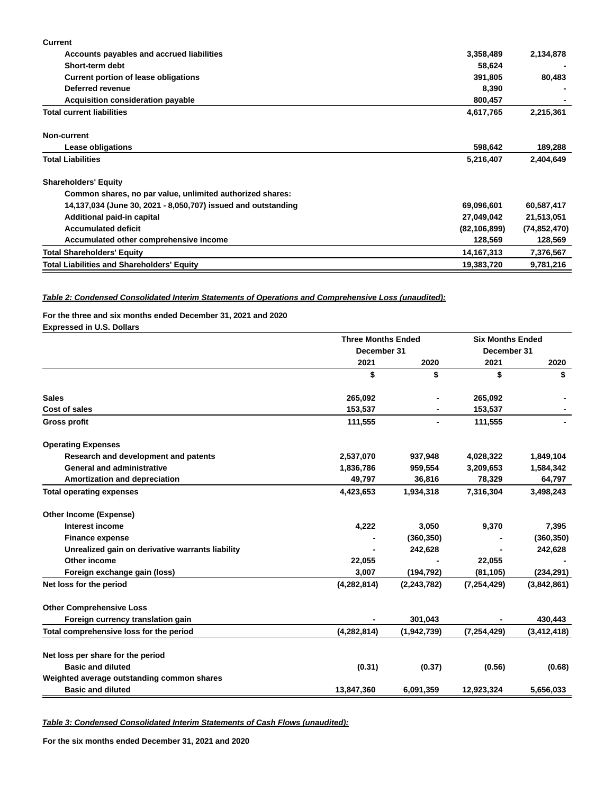| <b>Current</b>                                                |                |                |
|---------------------------------------------------------------|----------------|----------------|
| Accounts payables and accrued liabilities                     | 3,358,489      | 2,134,878      |
| Short-term debt                                               | 58,624         |                |
| Current portion of lease obligations                          | 391,805        | 80,483         |
| Deferred revenue                                              | 8,390          |                |
| <b>Acquisition consideration payable</b>                      | 800,457        |                |
| <b>Total current liabilities</b>                              | 4,617,765      | 2,215,361      |
| Non-current                                                   |                |                |
| Lease obligations                                             | 598,642        | 189,288        |
| <b>Total Liabilities</b>                                      | 5,216,407      | 2,404,649      |
| <b>Shareholders' Equity</b>                                   |                |                |
| Common shares, no par value, unlimited authorized shares:     |                |                |
| 14,137,034 (June 30, 2021 - 8,050,707) issued and outstanding | 69,096,601     | 60,587,417     |
| Additional paid-in capital                                    | 27,049,042     | 21,513,051     |
| <b>Accumulated deficit</b>                                    | (82, 106, 899) | (74, 852, 470) |
| Accumulated other comprehensive income                        | 128,569        | 128,569        |
| <b>Total Shareholders' Equity</b>                             | 14, 167, 313   | 7,376,567      |
| <b>Total Liabilities and Shareholders' Equity</b>             | 19,383,720     | 9,781,216      |

## **Table 2: Condensed Consolidated Interim Statements of Operations and Comprehensive Loss (unaudited):**

## **For the three and six months ended December 31, 2021 and 2020 Expressed in U.S. Dollars**

|                                                  | <b>Three Months Ended</b><br>December 31 |               | <b>Six Months Ended</b><br>December 31 |               |
|--------------------------------------------------|------------------------------------------|---------------|----------------------------------------|---------------|
|                                                  |                                          |               |                                        |               |
|                                                  | 2021                                     | 2020          | 2021                                   | 2020          |
|                                                  | \$                                       | \$            | \$                                     | \$            |
| <b>Sales</b>                                     | 265,092                                  |               | 265,092                                |               |
| Cost of sales                                    | 153,537                                  |               | 153,537                                |               |
| <b>Gross profit</b>                              | 111,555                                  |               | 111,555                                |               |
| <b>Operating Expenses</b>                        |                                          |               |                                        |               |
| Research and development and patents             | 2,537,070                                | 937,948       | 4,028,322                              | 1,849,104     |
| <b>General and administrative</b>                | 1,836,786                                | 959,554       | 3,209,653                              | 1,584,342     |
| Amortization and depreciation                    | 49,797                                   | 36,816        | 78,329                                 | 64,797        |
| <b>Total operating expenses</b>                  | 4,423,653                                | 1,934,318     | 7,316,304                              | 3,498,243     |
| <b>Other Income (Expense)</b>                    |                                          |               |                                        |               |
| Interest income                                  | 4,222                                    | 3,050         | 9,370                                  | 7,395         |
| <b>Finance expense</b>                           |                                          | (360, 350)    |                                        | (360, 350)    |
| Unrealized gain on derivative warrants liability |                                          | 242,628       |                                        | 242,628       |
| Other income                                     | 22,055                                   |               | 22,055                                 |               |
| Foreign exchange gain (loss)                     | 3,007                                    | (194, 792)    | (81, 105)                              | (234, 291)    |
| Net loss for the period                          | (4, 282, 814)                            | (2, 243, 782) | (7, 254, 429)                          | (3,842,861)   |
| <b>Other Comprehensive Loss</b>                  |                                          |               |                                        |               |
| Foreign currency translation gain                |                                          | 301,043       |                                        | 430,443       |
| Total comprehensive loss for the period          | (4, 282, 814)                            | (1,942,739)   | (7, 254, 429)                          | (3, 412, 418) |
| Net loss per share for the period                |                                          |               |                                        |               |
| <b>Basic and diluted</b>                         | (0.31)                                   | (0.37)        | (0.56)                                 | (0.68)        |
| Weighted average outstanding common shares       |                                          |               |                                        |               |
| <b>Basic and diluted</b>                         | 13,847,360                               | 6,091,359     | 12,923,324                             | 5,656,033     |

**Table 3: Condensed Consolidated Interim Statements of Cash Flows (unaudited):**

**For the six months ended December 31, 2021 and 2020**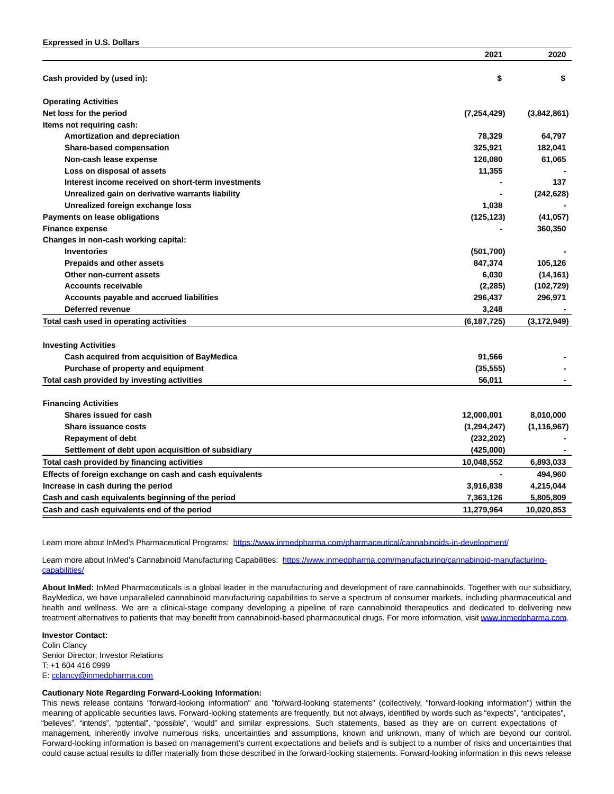|                                                          | 2021          | 2020          |
|----------------------------------------------------------|---------------|---------------|
| Cash provided by (used in):                              | \$            | \$            |
| <b>Operating Activities</b>                              |               |               |
| Net loss for the period                                  | (7, 254, 429) | (3,842,861)   |
| Items not requiring cash:                                |               |               |
| Amortization and depreciation                            | 78,329        | 64,797        |
| <b>Share-based compensation</b>                          | 325,921       | 182,041       |
| Non-cash lease expense                                   | 126,080       | 61,065        |
| Loss on disposal of assets                               | 11,355        |               |
| Interest income received on short-term investments       |               | 137           |
| Unrealized gain on derivative warrants liability         |               | (242, 628)    |
| Unrealized foreign exchange loss                         | 1,038         |               |
| Payments on lease obligations                            | (125, 123)    | (41, 057)     |
| <b>Finance expense</b>                                   |               | 360,350       |
| Changes in non-cash working capital:                     |               |               |
| <b>Inventories</b>                                       | (501, 700)    |               |
| <b>Prepaids and other assets</b>                         | 847,374       | 105,126       |
| Other non-current assets                                 | 6,030         | (14, 161)     |
| <b>Accounts receivable</b>                               | (2, 285)      | (102, 729)    |
| Accounts payable and accrued liabilities                 | 296,437       | 296,971       |
| Deferred revenue                                         | 3,248         |               |
| Total cash used in operating activities                  | (6, 187, 725) | (3, 172, 949) |
| <b>Investing Activities</b>                              |               |               |
| Cash acquired from acquisition of BayMedica              | 91,566        |               |
| Purchase of property and equipment                       | (35, 555)     |               |
| Total cash provided by investing activities              | 56,011        |               |
| <b>Financing Activities</b>                              |               |               |
| Shares issued for cash                                   | 12,000,001    | 8,010,000     |
| Share issuance costs                                     | (1, 294, 247) | (1, 116, 967) |
| <b>Repayment of debt</b>                                 | (232, 202)    |               |
| Settlement of debt upon acquisition of subsidiary        | (425,000)     |               |
| Total cash provided by financing activities              | 10,048,552    | 6,893,033     |
|                                                          |               |               |
| Effects of foreign exchange on cash and cash equivalents |               | 494,960       |
| Increase in cash during the period                       | 3,916,838     | 4,215,044     |
| Cash and cash equivalents beginning of the period        | 7,363,126     | 5,805,809     |
| Cash and cash equivalents end of the period              | 11,279,964    | 10,020,853    |

Learn more about InMed's Pharmaceutical Programs: [https://www.inmedpharma.com/pharmaceutical/cannabinoids-in-development/](https://www.globenewswire.com/Tracker?data=mSmb8Atj0dcb9QNNszQxluhErvUVaC4dz0cBipEqzoSDr0P_0p_4psQhXZGtYrY3obnPsUHZ3AKONRrroUEYzOvezJX0HFJza8f6W-RJYXgs4KDSSl1V3Jt1_dKt-y3ckHYIvO-dtUzh16oAn1ngyDu7JXwYJ0x16KDtUfkdcVdfTyM9b5PFAtGo4bxQBq1x4sd3PdK8jYySYU8ljqL5x-z2PZ5_Rxy7E9Q12FW5wA4=)

Learn more about InMed's Cannabinoid Manufacturing Capabilities: [https://www.inmedpharma.com/manufacturing/cannabinoid-manufacturing](https://www.globenewswire.com/Tracker?data=mSmb8Atj0dcb9QNNszQxluhErvUVaC4dz0cBipEqzoTguQYEiVeVz0_2EhCyhD8OtDwLC_mDE-FpT9FSzX0vjYds8tkc1kzOX_u5krL-JYQetaU2x1TdTJ3SRGGYur1jDem921dOc7OB10aofbouysvjEQ4nOY1h_fAxkDYhi4m0Hr6_0f-BIOiU8E6180sqV_m-49Qt02VgqJSzKQGa60uBRYsg19bYt7LTAOZGlDdhRqkMtT1IUIiGeHMmGlAr)capabilities/

**About InMed:** InMed Pharmaceuticals is a global leader in the manufacturing and development of rare cannabinoids. Together with our subsidiary, BayMedica, we have unparalleled cannabinoid manufacturing capabilities to serve a spectrum of consumer markets, including pharmaceutical and health and wellness. We are a clinical-stage company developing a pipeline of rare cannabinoid therapeutics and dedicated to delivering new treatment alternatives to patients that may benefit from cannabinoid-based pharmaceutical drugs. For more information, visit [www.inmedpharma.com.](https://www.globenewswire.com/Tracker?data=XH4d_8o0lutsmHl65lAjP2P7WqA4P9-l33z43jZkWgyFIpkrwSPJG5_StRhEJiNogXJYONkf64QU_Jh8aXn6tsvVhgwVSZ3gEyHRTUAfOZA=)

#### **Investor Contact:** Colin Clancy

Senior Director, Investor Relations T: +1 604 416 0999 E: [cclancy@inmedpharma.com](https://www.globenewswire.com/Tracker?data=4ZjUIk0U-eoKpv6sLC8StKzAJrEHw5fXfMLzaFhVqqVVRMkSCI6RLaUwavxMlT4NlQzCn76xoPmQhCi_EWPV2LVyyE-_jm0ZzZ-tN-qPUNo=)

## **Cautionary Note Regarding Forward-Looking Information:**

This news release contains "forward-looking information" and "forward-looking statements" (collectively, "forward-looking information") within the meaning of applicable securities laws. Forward-looking statements are frequently, but not always, identified by words such as "expects", "anticipates", "believes", "intends", "potential", "possible", "would" and similar expressions. Such statements, based as they are on current expectations of management, inherently involve numerous risks, uncertainties and assumptions, known and unknown, many of which are beyond our control. Forward-looking information is based on management's current expectations and beliefs and is subject to a number of risks and uncertainties that could cause actual results to differ materially from those described in the forward-looking statements. Forward-looking information in this news release